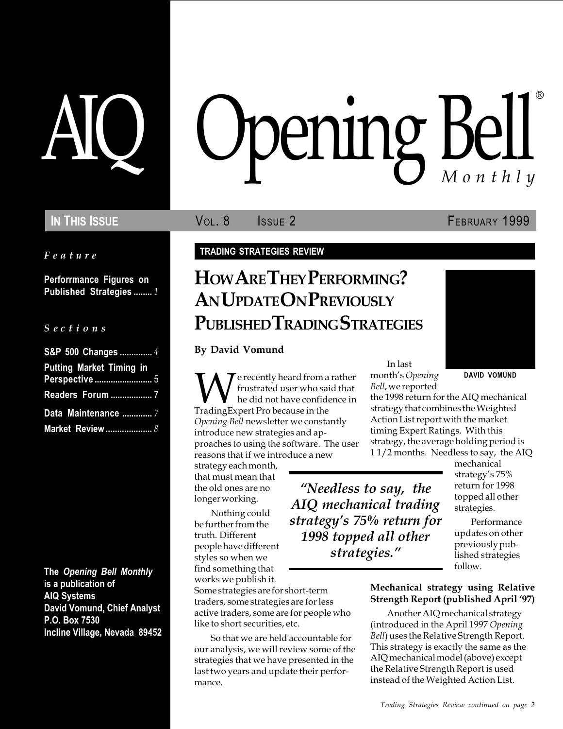Feature

Perforrmance Figures on Published Strategies ........ 1

#### S e c t i o n s

| S&P 500 Changes  4                                |
|---------------------------------------------------|
| <b>Putting Market Timing in</b><br>Perspective  5 |
| Readers Forum  7                                  |
| Data Maintenance  7                               |
| Market Review  8                                  |

The Opening Bell Monthly is a publication of AIQ Systems David Vomund, Chief Analyst P.O. Box 7530 Incline Village, Nevada 89452

# pening Bell ®

IN THIS ISSUE **VOL. 8** ISSUE 2 **FEBRUARY 1999** 

#### TRADING STRATEGIES REVIEW

# HOW ARE THEY PERFORMING? AN UPDATE ON PREVIOUSLY PUBLISHED TRADING STRATEGIES

By David Vomund

We recently heard from a rather<br>the did not have confidence in<br>TradingExpert Pro because in the frustrated user who said that he did not have confidence in Opening Bell newsletter we constantly introduce new strategies and approaches to using the software. The user reasons that if we introduce a new

strategy each month, that must mean that the old ones are no longer working.

Nothing could be further from the truth. Different people have different styles so when we find something that works we publish it.

Some strategies are for short-term traders, some strategies are for less active traders, some are for people who like to short securities, etc.

So that we are held accountable for our analysis, we will review some of the strategies that we have presented in the last two years and update their performance.

In last month's Opening Bell, we reported

Needless to say, the AIQ mechanical trading strategy's 75% return for 1998 topped all other strategies.

DAVID VOMUND

the 1998 return for the AIQ mechanical strategy that combines the Weighted Action List report with the market timing Expert Ratings. With this strategy, the average holding period is 1 1/2 months. Needless to say, the AIQ

> mechanical strategy's 75% return for 1998 topped all other strategies.

Performance updates on other previously published strategies follow.

#### Mechanical strategy using Relative Strength Report (published April '97)

Another AIQ mechanical strategy (introduced in the April 1997 Opening Bell) uses the Relative Strength Report. This strategy is exactly the same as the AIQ mechanical model (above) except the Relative Strength Report is used instead of the Weighted Action List.

Trading Strategies Review continued on page 2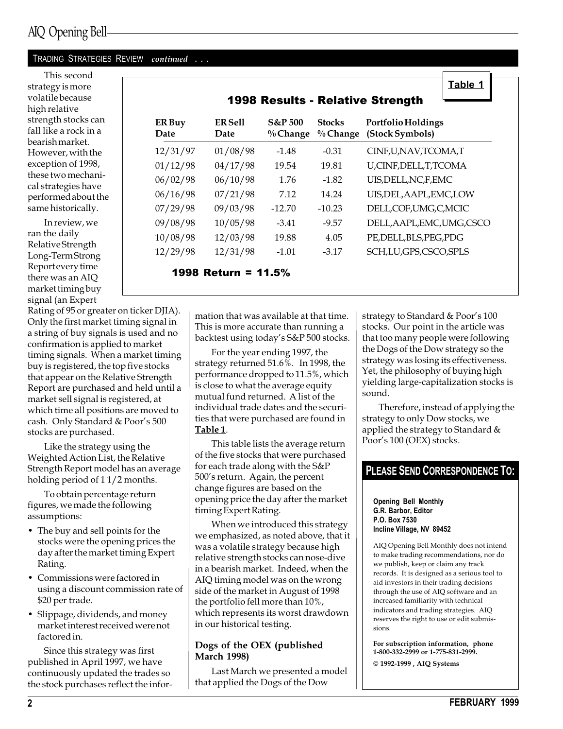#### TRADING STRATEGIES REVIEW continued . . .

This second strategy is more volatile because high relative strength stocks can fall like a rock in a bearish market. However, with the exception of 1998, these two mechanical strategies have performed about the same historically.

In review, we ran the daily Relative Strength Long-Term Strong Report every time there was an AIQ market timing buy signal (an Expert

Rating of 95 or greater on ticker DJIA). Only the first market timing signal in a string of buy signals is used and no confirmation is applied to market timing signals. When a market timing buy is registered, the top five stocks that appear on the Relative Strength Report are purchased and held until a market sell signal is registered, at which time all positions are moved to cash. Only Standard & Poor's 500 stocks are purchased.

Like the strategy using the Weighted Action List, the Relative Strength Report model has an average holding period of 1 1/2 months.

To obtain percentage return figures, we made the following assumptions:

- The buy and sell points for the stocks were the opening prices the day after the market timing Expert Rating.
- Commissions were factored in using a discount commission rate of \$20 per trade.
- Slippage, dividends, and money market interest received were not factored in.

Since this strategy was first published in April 1997, we have continuously updated the trades so the stock purchases reflect the infor-

#### mation that was available at that time. This is more accurate than running a backtest using today's S&P 500 stocks.

For the year ending 1997, the strategy returned 51.6%. In 1998, the performance dropped to 11.5%, which is close to what the average equity mutual fund returned. A list of the individual trade dates and the securities that were purchased are found in Table 1.

This table lists the average return of the five stocks that were purchased for each trade along with the S&P 500's return. Again, the percent change figures are based on the opening price the day after the market timing Expert Rating.

When we introduced this strategy we emphasized, as noted above, that it was a volatile strategy because high relative strength stocks can nose-dive in a bearish market. Indeed, when the AIQ timing model was on the wrong side of the market in August of 1998 the portfolio fell more than 10%, which represents its worst drawdown in our historical testing.

#### Dogs of the OEX (published March 1998)

Last March we presented a model that applied the Dogs of the Dow

strategy to Standard & Poor's 100 stocks. Our point in the article was that too many people were following the Dogs of the Dow strategy so the strategy was losing its effectiveness. Yet, the philosophy of buying high yielding large-capitalization stocks is sound.

Therefore, instead of applying the Poor's 100 (OEX) stocks.

#### PLEASE SEND CORRESPONDENCE TO:

#### Opening Bell Monthly G.R. Barbor, Editor P.O. Box 7530 Incline Village, NV 89452

AIQ Opening Bell Monthly does not intend to make trading recommendations, nor do we publish, keep or claim any track records. It is designed as a serious tool to aid investors in their trading decisions through the use of AIQ software and an increased familiarity with technical indicators and trading strategies. AIQ reserves the right to use or edit submissions.

For subscription information, phone 1-800-332-2999 or 1-775-831-2999. © 1992-1999 , AIQ Systems

ER Buy ER Sell S&P 500 Stocks Portfolio Holdings Date Date % Change % Change (Stock Symbols)

12/31/97 01/08/98 -1.48 -0.31 CINF,U,NAV,TCOMA,T 01/12/98 04/17/98 19.54 19.81 U,CINF,DELL,T,TCOMA 06/02/98 06/10/98 1.76 -1.82 UIS,DELL,NC,F,EMC 06/16/98 07/21/98 7.12 14.24 UIS,DEL,AAPL,EMC,LOW 07/29/98 09/03/98 -12.70 -10.23 DELL,COF,UMG,C,MCIC 09/08/98 10/05/98 -3.41 -9.57 DELL,AAPL,EMC,UMG,CSCO

10/08/98 12/03/98 19.88 4.05 PE,DELL,BLS,PEG,PDG

12/29/98 12/31/98 -1.01 -3.17 SCH,LU,GPS,CSCO,SPLS 1998 Return = 11.5%

strategy to only Dow stocks, we applied the strategy to Standard &

Table 1

# 1998 Results - Relative Strength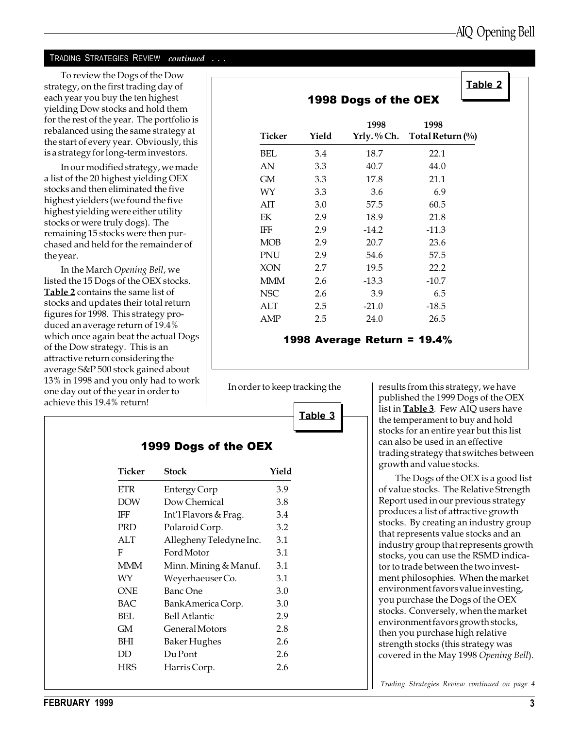#### TRADING STRATEGIES REVIEW continued . . .

In the March Opening Bell, we listed the 15 Dogs of the OEX stocks. Table 2 contains the same list of stocks and updates their total return figures for 1998. This strategy produced an average return of 19.4% which once again beat the actual Dogs of the Dow strategy. This is an attractive return considering the average S&P 500 stock gained about 13% in 1998 and you only had to work one day out of the year in order to achieve this 19.4% return!

| To review the Dogs of the Dow<br>strategy, on the first trading day of<br>each year you buy the ten highest<br>yielding Dow stocks and hold them<br>for the rest of the year. The portfolio is<br>rebalanced using the same strategy at<br>the start of every year. Obviously, this | Ticker     | Yield | 1998 Dogs of the OEX<br>1998<br>Yrly. % Ch. | 1998<br>Total Return $(\%$ | Table 2 |  |
|-------------------------------------------------------------------------------------------------------------------------------------------------------------------------------------------------------------------------------------------------------------------------------------|------------|-------|---------------------------------------------|----------------------------|---------|--|
| is a strategy for long-term investors.                                                                                                                                                                                                                                              | <b>BEL</b> | 3.4   | 18.7                                        | 22.1                       |         |  |
| In our modified strategy, we made                                                                                                                                                                                                                                                   | AN         | 3.3   | 40.7                                        | 44.0                       |         |  |
| a list of the 20 highest yielding OEX                                                                                                                                                                                                                                               | GM         | 3.3   | 17.8                                        | 21.1                       |         |  |
| stocks and then eliminated the five                                                                                                                                                                                                                                                 | WY         | 3.3   | 3.6                                         | 6.9                        |         |  |
| highest yielders (we found the five                                                                                                                                                                                                                                                 | AIT        | 3.0   | 57.5                                        | 60.5                       |         |  |
| highest yielding were either utility<br>stocks or were truly dogs). The                                                                                                                                                                                                             | EK         | 2.9   | 18.9                                        | 21.8                       |         |  |
| remaining 15 stocks were then pur-                                                                                                                                                                                                                                                  | IFF        | 2.9   | $-14.2$                                     | $-11.3$                    |         |  |
| chased and held for the remainder of                                                                                                                                                                                                                                                | <b>MOB</b> | 2.9   | 20.7                                        | 23.6                       |         |  |
| the year.                                                                                                                                                                                                                                                                           | PNU        | 2.9   | 54.6                                        | 57.5                       |         |  |
| In the March Opening Bell, we                                                                                                                                                                                                                                                       | <b>XON</b> | 2.7   | 19.5                                        | 22.2                       |         |  |
| listed the 15 Dogs of the OEX stocks.                                                                                                                                                                                                                                               | <b>MMM</b> | 2.6   | $-13.3$                                     | $-10.7$                    |         |  |
| Table 2 contains the same list of                                                                                                                                                                                                                                                   | <b>NSC</b> | 2.6   | 3.9                                         | 6.5                        |         |  |
| stocks and updates their total return                                                                                                                                                                                                                                               | ALT        | 2.5   | $-21.0$                                     | $-18.5$                    |         |  |
| figures for 1998. This strategy pro-<br>duced an average return of 19.4%                                                                                                                                                                                                            | AMP        | 2.5   | 24.0                                        | 26.5                       |         |  |

#### 1998 Average Return = 19.4%

Table 3

In order to keep tracking the  $\vert$  results from this strategy, we have published the 1999 Dogs of the OEX list in Table 3. Few AIQ users have the temperament to buy and hold stocks for an entire year but this list can also be used in an effective trading strategy that switches between growth and value stocks.

> The Dogs of the OEX is a good list of value stocks. The Relative Strength Report used in our previous strategy produces a list of attractive growth stocks. By creating an industry group that represents value stocks and an industry group that represents growth stocks, you can use the RSMD indicator to trade between the two investment philosophies. When the market environment favors value investing, you purchase the Dogs of the OEX stocks. Conversely, when the market environment favors growth stocks, then you purchase high relative strength stocks (this strategy was covered in the May 1998 Opening Bell).

Trading Strategies Review continued on page 4

| Ticker     | Stock                   | Yield |
|------------|-------------------------|-------|
| <b>ETR</b> | Entergy Corp            | 3.9   |
| <b>DOW</b> | Dow Chemical            | 3.8   |
| IFF        | Int'l Flavors & Frag.   | 3.4   |
| <b>PRD</b> | Polaroid Corp.          | 3.2   |
| <b>ALT</b> | Allegheny Teledyne Inc. | 3.1   |
| F          | Ford Motor              | 3.1   |
| <b>MMM</b> | Minn. Mining & Manuf.   | 3.1   |
| WY         | Weyerhaeuser Co.        | 3.1   |
| <b>ONE</b> | Banc One                | 3.0   |
| BAC        | Bank America Corp.      | 3.0   |
| BEL        | Bell Atlantic           | 2.9   |
| GМ         | General Motors          | 2.8   |
| BHI        | Baker Hughes            | 2.6   |
| DD         | Du Pont                 | 2.6   |
| <b>HRS</b> | Harris Corp.            | 2.6   |

## 1999 Dogs of the OEX

FEBRUARY 1999 3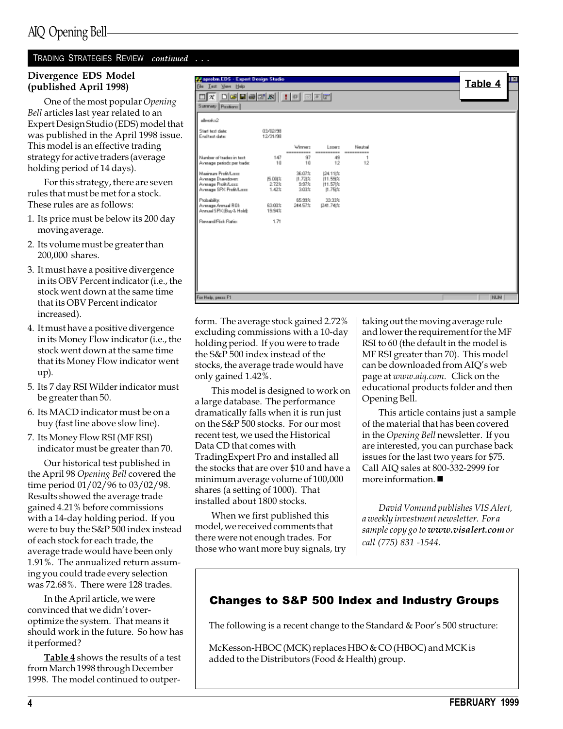#### TRADING STRATEGIES REVIEW continued . . .

#### Divergence EDS Model (published April 1998)

One of the most popular Opening Bell articles last year related to an Expert Design Studio (EDS) model that was published in the April 1998 issue. This model is an effective trading strategy for active traders (average holding period of 14 days).

For this strategy, there are seven rules that must be met for a stock. These rules are as follows:

- 1. Its price must be below its 200 day moving average.
- 2. Its volume must be greater than 200,000 shares.
- 3. It must have a positive divergence in its OBV Percent indicator (i.e., the stock went down at the same time that its OBV Percent indicator increased).
- 4. It must have a positive divergence in its Money Flow indicator (i.e., the stock went down at the same time that its Money Flow indicator went up).
- 5. Its 7 day RSI Wilder indicator must be greater than 50.
- 6. Its MACD indicator must be on a buy (fast line above slow line).
- 7. Its Money Flow RSI (MF RSI) indicator must be greater than 70.

Our historical test published in the April 98 Opening Bell covered the time period 01/02/96 to 03/02/98. Results showed the average trade gained 4.21% before commissions with a 14-day holding period. If you were to buy the S&P 500 index instead of each stock for each trade, the average trade would have been only 1.91%. The annualized return assuming you could trade every selection was 72.68%. There were 128 trades.

In the April article, we were convinced that we didn't overoptimize the system. That means it should work in the future. So how has it performed?

Table 4 shows the results of a test from March 1998 through December 1998. The model continued to outper-

| $\Box$ $\overline{x}$<br>Summey Pasitions                      |                      |                      |                      |                       |  |            |
|----------------------------------------------------------------|----------------------|----------------------|----------------------|-----------------------|--|------------|
| alloyed-12                                                     |                      |                      |                      |                       |  |            |
| Start text date:<br>End test date:                             | 03/02/98<br>12/31/98 |                      |                      |                       |  |            |
|                                                                |                      | Weener<br>---------- | Losen<br>----------  | Neutral<br>---------- |  |            |
| Number of tradez in text.<br>Average periods per trade:        | 147<br>10            | 97<br>10             | 49<br>12             | 12                    |  |            |
| Maginum Profit/Long<br>Average Drawdown                        | <b>压 00は</b>         | 36.07%<br>11.721%    | 24.11 /2<br>11.59(%) |                       |  |            |
| Average Profit/Lass<br>Average SPX Profit/Lass:                | 2.72%<br>1.42%       | 9.97%<br>3.03%       | 11.57 %<br>11.75     |                       |  |            |
| Probability:<br>Avenuge Armuel ROL<br>Annual SPK (Buy & Hold): | 63.00%<br>19.94%     | 65.99%<br>244.57%    | 33.99%<br>1241.741%  |                       |  |            |
| Reward/Fisk Ratio:                                             | 1.71                 |                      |                      |                       |  |            |
|                                                                |                      |                      |                      |                       |  |            |
|                                                                |                      |                      |                      |                       |  |            |
|                                                                |                      |                      |                      |                       |  |            |
|                                                                |                      |                      |                      |                       |  |            |
|                                                                |                      |                      |                      |                       |  |            |
| For Help, peace F1                                             |                      |                      |                      |                       |  | <b>NUM</b> |

form. The average stock gained 2.72% excluding commissions with a 10-day holding period. If you were to trade the S&P 500 index instead of the stocks, the average trade would have only gained 1.42%.

This model is designed to work on a large database. The performance dramatically falls when it is run just on the S&P 500 stocks. For our most recent test, we used the Historical Data CD that comes with TradingExpert Pro and installed all the stocks that are over \$10 and have a minimum average volume of 100,000 shares (a setting of 1000). That installed about 1800 stocks.

When we first published this model, we received comments that there were not enough trades. For those who want more buy signals, try taking out the moving average rule and lower the requirement for the MF RSI to 60 (the default in the model is MF RSI greater than 70). This model can be downloaded from AIQ's web page at www.aiq.com. Click on the educational products folder and then Opening Bell.

This article contains just a sample of the material that has been covered in the Opening Bell newsletter. If you are interested, you can purchase back issues for the last two years for \$75. Call AIQ sales at 800-332-2999 for more information.  $\blacksquare$ 

David Vomund publishes VIS Alert, a weekly investment newsletter. For a sample copy go to www.visalert.com or call (775) 831 -1544.

#### Changes to S&P 500 Index and Industry Groups

The following is a recent change to the Standard  $&$  Poor's 500 structure:

McKesson-HBOC (MCK) replaces HBO & CO (HBOC) and MCK is added to the Distributors (Food & Health) group.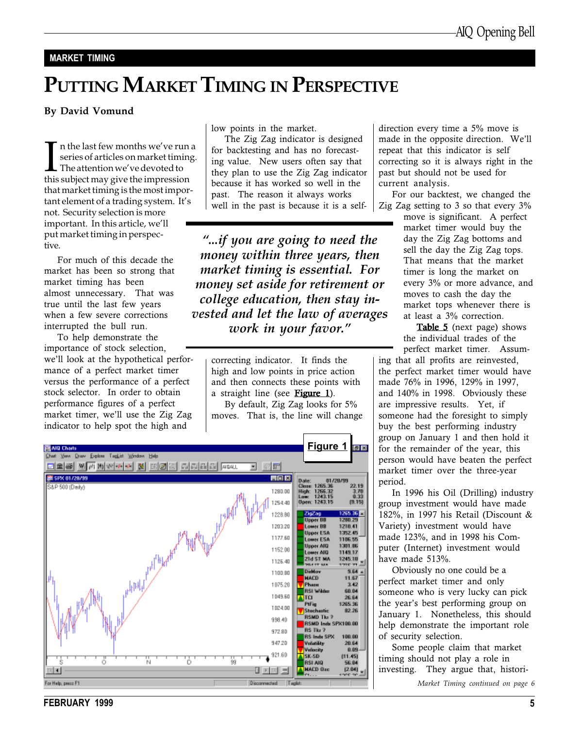#### MARKET TIMING

# PUTTING MARKET TIMING IN PERSPECTIVE

#### By David Vomund

I in the last few months we've run<br>series of articles on market timin<br>The attention we've devoted to<br>this subject may give the impression n the last few months we've run a series of articles on market timing.  $\blacksquare$  The attention we've devoted to that market timing is the most impor $tant element of a trading system. It's$ not. Security selection is more important. In this article, we'll put market timing in perspective.

For much of this decade the market has been so strong that market timing has been almost unnecessary. That was true until the last few years when a few severe corrections interrupted the bull run.

To help demonstrate the importance of stock selection, we'll look at the hypothetical performance of a perfect market timer versus the performance of a perfect stock selector. In order to obtain performance figures of a perfect market timer, we'll use the Zig Zag indicator to help spot the high and

low points in the market.

The Zig Zag indicator is designed for backtesting and has no forecasting value. New users often say that they plan to use the Zig Zag indicator because it has worked so well in the past. The reason it always works well in the past is because it is a self-

...if you are going to need the money within three years, then market timing is essential. For money set aside for retirement or college education, then stay invested and let the law of averages work in your favor.

correcting indicator. It finds the high and low points in price action and then connects these points with a straight line (see Figure 1).

By default, Zig Zag looks for 5% moves. That is, the line will change



direction every time a 5% move is made in the opposite direction. We'll repeat that this indicator is self correcting so it is always right in the past but should not be used for current analysis.

For our backtest, we changed the Zig Zag setting to 3 so that every 3%

move is significant. A perfect market timer would buy the day the Zig Zag bottoms and sell the day the Zig Zag tops. That means that the market timer is long the market on every 3% or more advance, and moves to cash the day the market tops whenever there is at least a 3% correction.

**Table 5** (next page) shows the individual trades of the perfect market timer. Assum-

ing that all profits are reinvested, the perfect market timer would have made 76% in 1996, 129% in 1997, and 140% in 1998. Obviously these are impressive results. Yet, if someone had the foresight to simply buy the best performing industry group on January 1 and then hold it for the remainder of the year, this person would have beaten the perfect market timer over the three-year period.

In 1996 his Oil (Drilling) industry group investment would have made 182%, in 1997 his Retail (Discount & Variety) investment would have made 123%, and in 1998 his Computer (Internet) investment would have made 513%.

Obviously no one could be a perfect market timer and only someone who is very lucky can pick the year's best performing group on January 1. Nonetheless, this should help demonstrate the important role of security selection.

Some people claim that market timing should not play a role in investing. They argue that, histori-

Market Timing continued on page 6

FEBRUARY 1999 55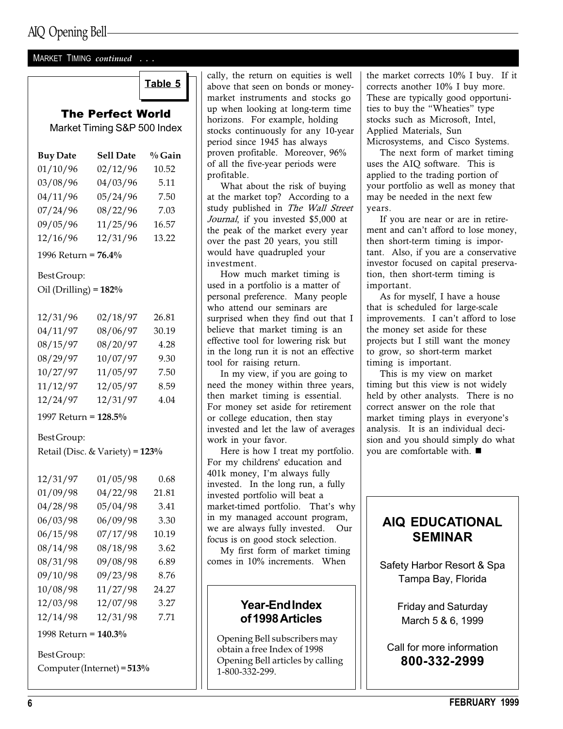#### MARKET TIMING continued . . .

## The Perfect World Market Timing S&P 500 Index

| <b>Buy Date</b>         | <b>Sell Date</b> | % Gain |  |  |  |  |  |
|-------------------------|------------------|--------|--|--|--|--|--|
| 01/10/96                | 02/12/96         | 10.52  |  |  |  |  |  |
| 03/08/96                | 04/03/96         | 5.11   |  |  |  |  |  |
| 04/11/96                | 05/24/96         | 7.50   |  |  |  |  |  |
| 07/24/96                | 08/22/96         | 7.03   |  |  |  |  |  |
| 09/05/96                | 11/25/96         | 16.57  |  |  |  |  |  |
| 12/16/96                | 12/31/96         | 13.22  |  |  |  |  |  |
| 1996 Return = 76.4%     |                  |        |  |  |  |  |  |
| Best Group:             |                  |        |  |  |  |  |  |
| Oil (Drilling) = $182%$ |                  |        |  |  |  |  |  |
|                         |                  |        |  |  |  |  |  |
| 12/31/96                | 02/18/97         | 26.81  |  |  |  |  |  |
| 04/11/97                | 08/06/97         | 30.19  |  |  |  |  |  |
| 08/15/97                | 08/20/97         | 4.28   |  |  |  |  |  |
| 08/29/97                | 10/07/97         | 9.30   |  |  |  |  |  |
| 10/27/97                | 11/05/97         | 7.50   |  |  |  |  |  |
| 11/12/97                | 12/05/97         | 8.59   |  |  |  |  |  |
| 12/24/97                | 12/31/97         | 4.04   |  |  |  |  |  |
| 1997 Return = 128.5%    |                  |        |  |  |  |  |  |

#### Best Group:

Retail (Disc. & Variety) = 123%

| 12/31/97 | 01/05/98 | 0.68  |
|----------|----------|-------|
| 01/09/98 | 04/22/98 | 21.81 |
| 04/28/98 | 05/04/98 | 3.41  |
| 06/03/98 | 06/09/98 | 3.30  |
| 06/15/98 | 07/17/98 | 10.19 |
| 08/14/98 | 08/18/98 | 3.62  |
| 08/31/98 | 09/08/98 | 6.89  |
| 09/10/98 | 09/23/98 | 8.76  |
| 10/08/98 | 11/27/98 | 24.27 |
| 12/03/98 | 12/07/98 | 3.27  |
| 12/14/98 | 12/31/98 | 7.71  |
|          |          |       |

1998 Return = 140.3%

Best Group:

Computer (Internet) = 513%

**Table 5**  $\Box$  cally, the return on equities is well above that seen on bonds or moneymarket instruments and stocks go up when looking at long-term time horizons. For example, holding stocks continuously for any 10-year period since 1945 has always proven profitable. Moreover, 96% of all the five-year periods were profitable.

What about the risk of buying at the market top? According to a study published in The Wall Street Journal, if you invested \$5,000 at the peak of the market every year over the past 20 years, you still would have quadrupled your investment.

How much market timing is used in a portfolio is a matter of personal preference. Many people who attend our seminars are surprised when they find out that I believe that market timing is an effective tool for lowering risk but in the long run it is not an effective tool for raising return.

In my view, if you are going to need the money within three years, then market timing is essential. For money set aside for retirement or college education, then stay invested and let the law of averages work in your favor.

Here is how I treat my portfolio. For my childrens' education and 401k money, I'm always fully invested. In the long run, a fully invested portfolio will beat a market-timed portfolio. That's why in my managed account program, we are always fully invested. Our focus is on good stock selection.

My first form of market timing comes in 10% increments. When

## Year-End Index of 1998 Articles

Opening Bell subscribers may obtain a free Index of 1998 Opening Bell articles by calling 1-800-332-299.

the market corrects 10% I buy. If it corrects another 10% I buy more. These are typically good opportunities to buy the "Wheaties" type stocks such as Microsoft, Intel, Applied Materials, Sun Microsystems, and Cisco Systems.

The next form of market timing uses the AIQ software. This is applied to the trading portion of your portfolio as well as money that may be needed in the next few years.

If you are near or are in retirement and can't afford to lose money, then short-term timing is important. Also, if you are a conservative investor focused on capital preservation, then short-term timing is important.

As for myself, I have a house that is scheduled for large-scale improvements. I can't afford to lose the money set aside for these projects but I still want the money to grow, so short-term market timing is important.

This is my view on market timing but this view is not widely held by other analysts. There is no correct answer on the role that market timing plays in everyone's analysis. It is an individual decision and you should simply do what you are comfortable with.  $\blacksquare$ 

## AIQ EDUCATIONAL SEMINAR

Safety Harbor Resort & Spa Tampa Bay, Florida

> Friday and Saturday March 5 & 6, 1999

Call for more information 800-332-2999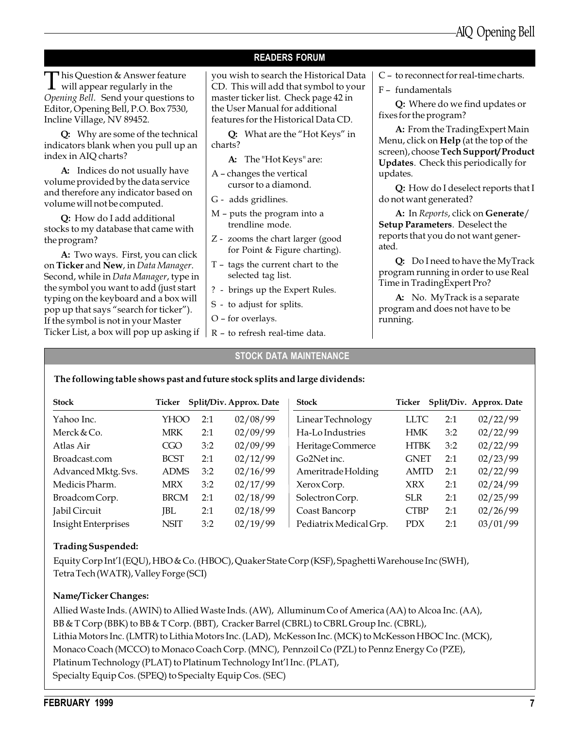#### READERS FORUM

This Question & Answer feature  $\perp$  will appear regularly in the Opening Bell. Send your questions to Editor, Opening Bell, P.O. Box 7530, Incline Village, NV 89452.

Q: Why are some of the technical indicators blank when you pull up an index in AIQ charts?

A: Indices do not usually have volume provided by the data service and therefore any indicator based on volume will not be computed.

Q: How do I add additional stocks to my database that came with the program?

A: Two ways. First, you can click on Ticker and New, in Data Manager. Second, while in Data Manager, type in the symbol you want to add (just start typing on the keyboard and a box will pop up that says "search for ticker"). If the symbol is not in your Master Ticker List, a box will pop up asking if you wish to search the Historical Data CD. This will add that symbol to your master ticker list. Check page 42 in the User Manual for additional features for the Historical Data CD.

Q: What are the "Hot Keys" in charts?

A: The "Hot Keys" are:

- A changes the vertical cursor to a diamond.
- G adds gridlines.
- $M$  puts the program into a trendline mode.
- Z zooms the chart larger (good for Point & Figure charting).
- $T tags$  the current chart to the selected tag list.
- ? brings up the Expert Rules.

 $R -$  to refresh real-time data.

- S to adjust for splits.
- O for overlays.

#### STOCK DATA MAINTENANCE

 $C - t$  o reconnect for real-time charts.

F - fundamentals

Q: Where do we find updates or fixes for the program?

A: From the TradingExpert Main Menu, click on Help (at the top of the screen), choose Tech Support/ Product Updates. Check this periodically for updates.

Q: How do I deselect reports that I do not want generated?

A: In Reports, click on Generate/ Setup Parameters. Deselect the reports that you do not want generated.

Q: Do I need to have the MyTrack program running in order to use Real Time in TradingExpert Pro?

A: No. MyTrack is a separate program and does not have to be running.

#### The following table shows past and future stock splits and large dividends:

| <b>Stock</b>        | Ticker      |     | Split/Div. Approx. Date | <b>Stock</b>           | Ticker      |     | Split/Div. Approx. Date |
|---------------------|-------------|-----|-------------------------|------------------------|-------------|-----|-------------------------|
| Yahoo Inc.          | YHOO        | 2:1 | 02/08/99                | Linear Technology      | LLTC        | 2:1 | 02/22/99                |
| Merck & Co.         | <b>MRK</b>  | 2:1 | 02/09/99                | Ha-Lo Industries       | HMK         | 3:2 | 02/22/99                |
| Atlas Air           | CGO         | 3:2 | 02/09/99                | Heritage Commerce      | <b>HTBK</b> | 3:2 | 02/22/99                |
| Broadcast.com       | <b>BCST</b> | 2:1 | 02/12/99                | Go2Net inc.            | <b>GNET</b> | 2:1 | 02/23/99                |
| Advanced Mktg. Svs. | <b>ADMS</b> | 3:2 | 02/16/99                | Ameritrade Holding     | <b>AMTD</b> | 2:1 | 02/22/99                |
| Medicis Pharm.      | <b>MRX</b>  | 3:2 | 02/17/99                | Xerox Corp.            | <b>XRX</b>  | 2:1 | 02/24/99                |
| Broadcom Corp.      | <b>BRCM</b> | 2:1 | 02/18/99                | Solectron Corp.        | <b>SLR</b>  | 2:1 | 02/25/99                |
| Jabil Circuit       | JBL         | 2:1 | 02/18/99                | Coast Bancorp          | <b>CTBP</b> | 2:1 | 02/26/99                |
| Insight Enterprises | <b>NSIT</b> | 3:2 | 02/19/99                | Pediatrix Medical Grp. | <b>PDX</b>  | 2:1 | 03/01/99                |

#### Trading Suspended:

Equity Corp Int'l (EQU), HBO & Co. (HBOC), Quaker State Corp (KSF), Spaghetti Warehouse Inc (SWH), Tetra Tech (WATR), Valley Forge (SCI)

#### Name/Ticker Changes:

Allied Waste Inds. (AWIN) to Allied Waste Inds. (AW), Alluminum Co of America (AA) to Alcoa Inc. (AA), BB & T Corp (BBK) to BB & T Corp. (BBT), Cracker Barrel (CBRL) to CBRL Group Inc. (CBRL), Lithia Motors Inc. (LMTR) to Lithia Motors Inc. (LAD), McKesson Inc. (MCK) to McKesson HBOC Inc. (MCK), Monaco Coach (MCCO) to Monaco Coach Corp. (MNC), Pennzoil Co (PZL) to Pennz Energy Co (PZE), Platinum Technology (PLAT) to Platinum Technology Int'l Inc. (PLAT), Specialty Equip Cos. (SPEQ) to Specialty Equip Cos. (SEC)